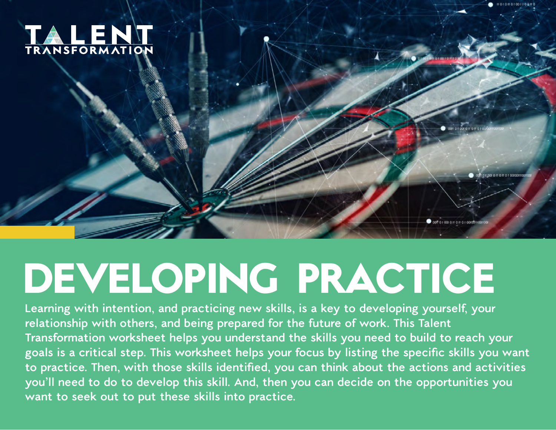

## **DEVELOPING PRACTICE**

**Learning with intention, and practicing new skills, is a key to developing yourself, your relationship with others, and being prepared for the future of work. This Talent Transformation worksheet helps you understand the skills you need to build to reach your**  goals is a critical step. This worksheet helps your focus by listing the specific skills you want to practice. Then, with those skills identified, you can think about the actions and activities **you'll need to do to develop this skill. And, then you can decide on the opportunities you want to seek out to put these skills into practice.**